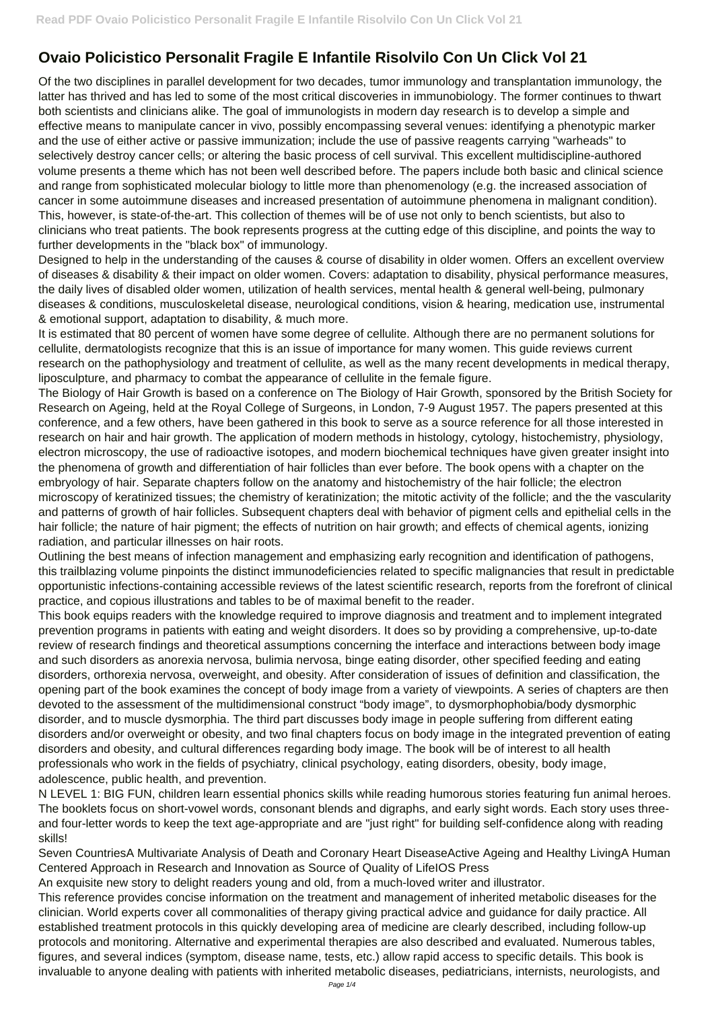## **Ovaio Policistico Personalit Fragile E Infantile Risolvilo Con Un Click Vol 21**

Of the two disciplines in parallel development for two decades, tumor immunology and transplantation immunology, the latter has thrived and has led to some of the most critical discoveries in immunobiology. The former continues to thwart both scientists and clinicians alike. The goal of immunologists in modern day research is to develop a simple and effective means to manipulate cancer in vivo, possibly encompassing several venues: identifying a phenotypic marker and the use of either active or passive immunization; include the use of passive reagents carrying "warheads" to selectively destroy cancer cells; or altering the basic process of cell survival. This excellent multidiscipline-authored volume presents a theme which has not been well described before. The papers include both basic and clinical science and range from sophisticated molecular biology to little more than phenomenology (e.g. the increased association of cancer in some autoimmune diseases and increased presentation of autoimmune phenomena in malignant condition). This, however, is state-of-the-art. This collection of themes will be of use not only to bench scientists, but also to clinicians who treat patients. The book represents progress at the cutting edge of this discipline, and points the way to further developments in the "black box" of immunology.

Designed to help in the understanding of the causes & course of disability in older women. Offers an excellent overview of diseases & disability & their impact on older women. Covers: adaptation to disability, physical performance measures, the daily lives of disabled older women, utilization of health services, mental health & general well-being, pulmonary diseases & conditions, musculoskeletal disease, neurological conditions, vision & hearing, medication use, instrumental & emotional support, adaptation to disability, & much more.

It is estimated that 80 percent of women have some degree of cellulite. Although there are no permanent solutions for cellulite, dermatologists recognize that this is an issue of importance for many women. This guide reviews current research on the pathophysiology and treatment of cellulite, as well as the many recent developments in medical therapy, liposculpture, and pharmacy to combat the appearance of cellulite in the female figure.

The Biology of Hair Growth is based on a conference on The Biology of Hair Growth, sponsored by the British Society for Research on Ageing, held at the Royal College of Surgeons, in London, 7-9 August 1957. The papers presented at this conference, and a few others, have been gathered in this book to serve as a source reference for all those interested in research on hair and hair growth. The application of modern methods in histology, cytology, histochemistry, physiology, electron microscopy, the use of radioactive isotopes, and modern biochemical techniques have given greater insight into the phenomena of growth and differentiation of hair follicles than ever before. The book opens with a chapter on the embryology of hair. Separate chapters follow on the anatomy and histochemistry of the hair follicle; the electron microscopy of keratinized tissues; the chemistry of keratinization; the mitotic activity of the follicle; and the the vascularity and patterns of growth of hair follicles. Subsequent chapters deal with behavior of pigment cells and epithelial cells in the hair follicle; the nature of hair pigment; the effects of nutrition on hair growth; and effects of chemical agents, ionizing radiation, and particular illnesses on hair roots.

Outlining the best means of infection management and emphasizing early recognition and identification of pathogens, this trailblazing volume pinpoints the distinct immunodeficiencies related to specific malignancies that result in predictable opportunistic infections-containing accessible reviews of the latest scientific research, reports from the forefront of clinical practice, and copious illustrations and tables to be of maximal benefit to the reader.

This book equips readers with the knowledge required to improve diagnosis and treatment and to implement integrated prevention programs in patients with eating and weight disorders. It does so by providing a comprehensive, up-to-date review of research findings and theoretical assumptions concerning the interface and interactions between body image and such disorders as anorexia nervosa, bulimia nervosa, binge eating disorder, other specified feeding and eating disorders, orthorexia nervosa, overweight, and obesity. After consideration of issues of definition and classification, the opening part of the book examines the concept of body image from a variety of viewpoints. A series of chapters are then devoted to the assessment of the multidimensional construct "body image", to dysmorphophobia/body dysmorphic disorder, and to muscle dysmorphia. The third part discusses body image in people suffering from different eating disorders and/or overweight or obesity, and two final chapters focus on body image in the integrated prevention of eating disorders and obesity, and cultural differences regarding body image. The book will be of interest to all health professionals who work in the fields of psychiatry, clinical psychology, eating disorders, obesity, body image, adolescence, public health, and prevention. N LEVEL 1: BIG FUN, children learn essential phonics skills while reading humorous stories featuring fun animal heroes. The booklets focus on short-vowel words, consonant blends and digraphs, and early sight words. Each story uses threeand four-letter words to keep the text age-appropriate and are "just right" for building self-confidence along with reading skills! Seven CountriesA Multivariate Analysis of Death and Coronary Heart DiseaseActive Ageing and Healthy LivingA Human Centered Approach in Research and Innovation as Source of Quality of LifeIOS Press An exquisite new story to delight readers young and old, from a much-loved writer and illustrator. This reference provides concise information on the treatment and management of inherited metabolic diseases for the clinician. World experts cover all commonalities of therapy giving practical advice and guidance for daily practice. All established treatment protocols in this quickly developing area of medicine are clearly described, including follow-up protocols and monitoring. Alternative and experimental therapies are also described and evaluated. Numerous tables, figures, and several indices (symptom, disease name, tests, etc.) allow rapid access to specific details. This book is invaluable to anyone dealing with patients with inherited metabolic diseases, pediatricians, internists, neurologists, and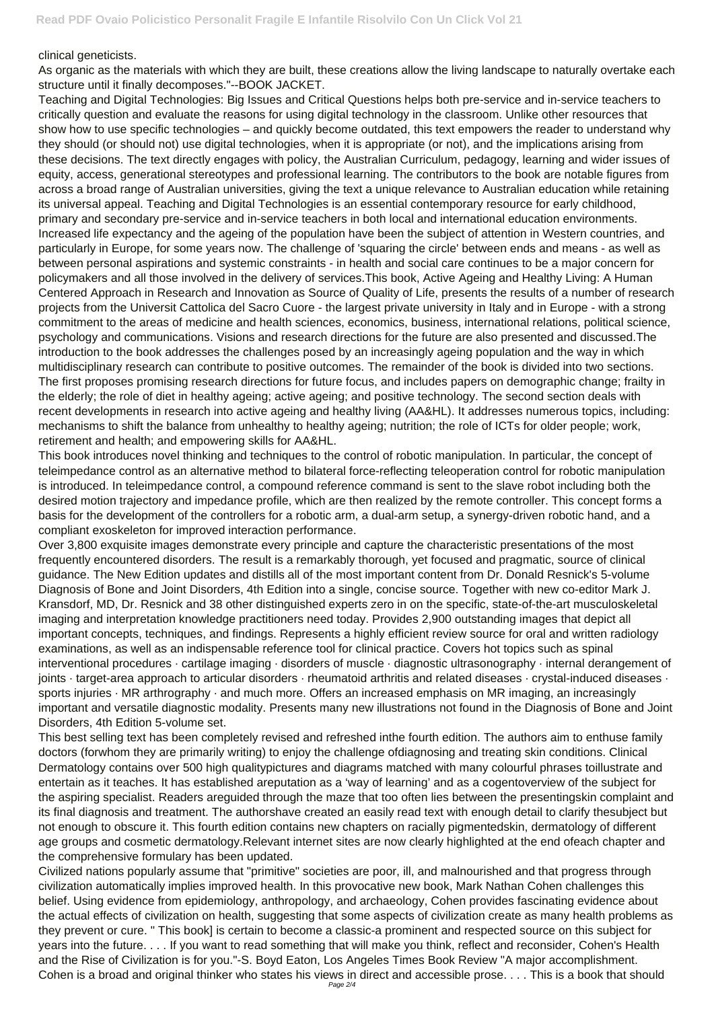clinical geneticists.

As organic as the materials with which they are built, these creations allow the living landscape to naturally overtake each structure until it finally decomposes."--BOOK JACKET.

Teaching and Digital Technologies: Big Issues and Critical Questions helps both pre-service and in-service teachers to critically question and evaluate the reasons for using digital technology in the classroom. Unlike other resources that show how to use specific technologies – and quickly become outdated, this text empowers the reader to understand why they should (or should not) use digital technologies, when it is appropriate (or not), and the implications arising from these decisions. The text directly engages with policy, the Australian Curriculum, pedagogy, learning and wider issues of equity, access, generational stereotypes and professional learning. The contributors to the book are notable figures from across a broad range of Australian universities, giving the text a unique relevance to Australian education while retaining its universal appeal. Teaching and Digital Technologies is an essential contemporary resource for early childhood, primary and secondary pre-service and in-service teachers in both local and international education environments. Increased life expectancy and the ageing of the population have been the subject of attention in Western countries, and particularly in Europe, for some years now. The challenge of 'squaring the circle' between ends and means - as well as between personal aspirations and systemic constraints - in health and social care continues to be a major concern for policymakers and all those involved in the delivery of services.This book, Active Ageing and Healthy Living: A Human Centered Approach in Research and Innovation as Source of Quality of Life, presents the results of a number of research projects from the Universit Cattolica del Sacro Cuore - the largest private university in Italy and in Europe - with a strong commitment to the areas of medicine and health sciences, economics, business, international relations, political science, psychology and communications. Visions and research directions for the future are also presented and discussed.The introduction to the book addresses the challenges posed by an increasingly ageing population and the way in which multidisciplinary research can contribute to positive outcomes. The remainder of the book is divided into two sections. The first proposes promising research directions for future focus, and includes papers on demographic change; frailty in the elderly; the role of diet in healthy ageing; active ageing; and positive technology. The second section deals with recent developments in research into active ageing and healthy living (AA&HL). It addresses numerous topics, including: mechanisms to shift the balance from unhealthy to healthy ageing; nutrition; the role of ICTs for older people; work, retirement and health; and empowering skills for AA&HL.

This book introduces novel thinking and techniques to the control of robotic manipulation. In particular, the concept of teleimpedance control as an alternative method to bilateral force-reflecting teleoperation control for robotic manipulation is introduced. In teleimpedance control, a compound reference command is sent to the slave robot including both the desired motion trajectory and impedance profile, which are then realized by the remote controller. This concept forms a basis for the development of the controllers for a robotic arm, a dual-arm setup, a synergy-driven robotic hand, and a compliant exoskeleton for improved interaction performance.

Over 3,800 exquisite images demonstrate every principle and capture the characteristic presentations of the most frequently encountered disorders. The result is a remarkably thorough, yet focused and pragmatic, source of clinical guidance. The New Edition updates and distills all of the most important content from Dr. Donald Resnick's 5-volume Diagnosis of Bone and Joint Disorders, 4th Edition into a single, concise source. Together with new co-editor Mark J. Kransdorf, MD, Dr. Resnick and 38 other distinguished experts zero in on the specific, state-of-the-art musculoskeletal imaging and interpretation knowledge practitioners need today. Provides 2,900 outstanding images that depict all important concepts, techniques, and findings. Represents a highly efficient review source for oral and written radiology examinations, as well as an indispensable reference tool for clinical practice. Covers hot topics such as spinal interventional procedures · cartilage imaging · disorders of muscle · diagnostic ultrasonography · internal derangement of joints · target-area approach to articular disorders · rheumatoid arthritis and related diseases · crystal-induced diseases · sports injuries · MR arthrography · and much more. Offers an increased emphasis on MR imaging, an increasingly important and versatile diagnostic modality. Presents many new illustrations not found in the Diagnosis of Bone and Joint Disorders, 4th Edition 5-volume set.

This best selling text has been completely revised and refreshed inthe fourth edition. The authors aim to enthuse family doctors (forwhom they are primarily writing) to enjoy the challenge ofdiagnosing and treating skin conditions. Clinical

Dermatology contains over 500 high qualitypictures and diagrams matched with many colourful phrases toillustrate and entertain as it teaches. It has established areputation as a 'way of learning' and as a cogentoverview of the subject for the aspiring specialist. Readers areguided through the maze that too often lies between the presentingskin complaint and its final diagnosis and treatment. The authorshave created an easily read text with enough detail to clarify thesubject but not enough to obscure it. This fourth edition contains new chapters on racially pigmentedskin, dermatology of different age groups and cosmetic dermatology.Relevant internet sites are now clearly highlighted at the end ofeach chapter and the comprehensive formulary has been updated.

Civilized nations popularly assume that "primitive" societies are poor, ill, and malnourished and that progress through civilization automatically implies improved health. In this provocative new book, Mark Nathan Cohen challenges this belief. Using evidence from epidemiology, anthropology, and archaeology, Cohen provides fascinating evidence about the actual effects of civilization on health, suggesting that some aspects of civilization create as many health problems as they prevent or cure. " This book] is certain to become a classic-a prominent and respected source on this subject for years into the future. . . . If you want to read something that will make you think, reflect and reconsider, Cohen's Health and the Rise of Civilization is for you."-S. Boyd Eaton, Los Angeles Times Book Review "A major accomplishment. Cohen is a broad and original thinker who states his views in direct and accessible prose. . . . This is a book that should Page 2/4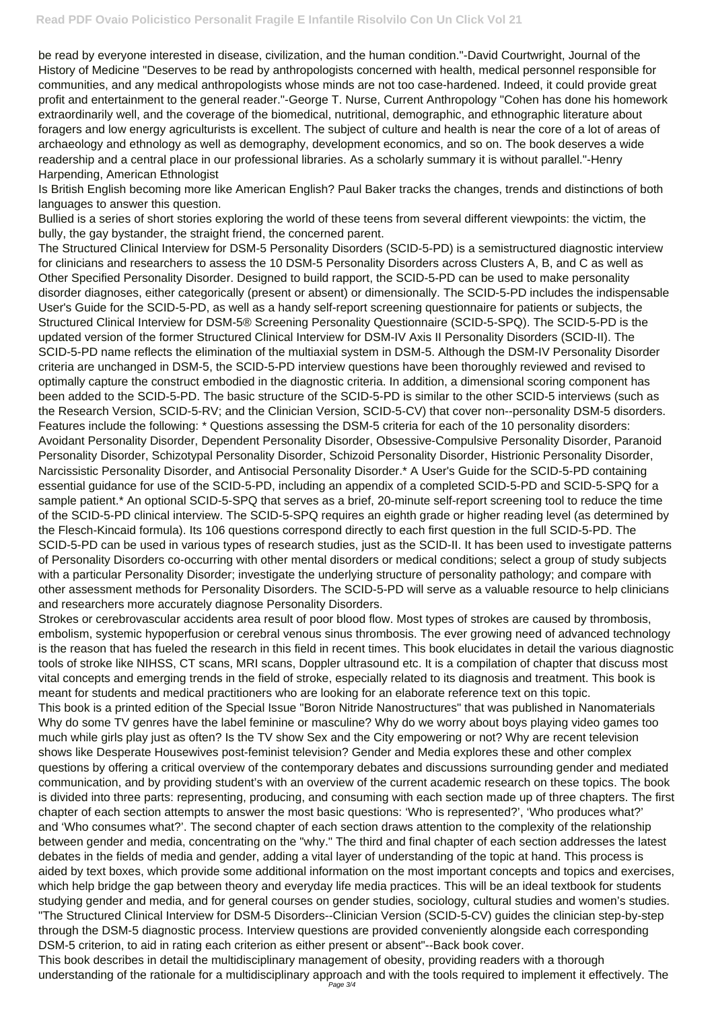be read by everyone interested in disease, civilization, and the human condition."-David Courtwright, Journal of the History of Medicine "Deserves to be read by anthropologists concerned with health, medical personnel responsible for communities, and any medical anthropologists whose minds are not too case-hardened. Indeed, it could provide great profit and entertainment to the general reader."-George T. Nurse, Current Anthropology "Cohen has done his homework extraordinarily well, and the coverage of the biomedical, nutritional, demographic, and ethnographic literature about foragers and low energy agriculturists is excellent. The subject of culture and health is near the core of a lot of areas of archaeology and ethnology as well as demography, development economics, and so on. The book deserves a wide readership and a central place in our professional libraries. As a scholarly summary it is without parallel."-Henry Harpending, American Ethnologist

Is British English becoming more like American English? Paul Baker tracks the changes, trends and distinctions of both languages to answer this question.

Bullied is a series of short stories exploring the world of these teens from several different viewpoints: the victim, the bully, the gay bystander, the straight friend, the concerned parent.

The Structured Clinical Interview for DSM-5 Personality Disorders (SCID-5-PD) is a semistructured diagnostic interview for clinicians and researchers to assess the 10 DSM-5 Personality Disorders across Clusters A, B, and C as well as Other Specified Personality Disorder. Designed to build rapport, the SCID-5-PD can be used to make personality disorder diagnoses, either categorically (present or absent) or dimensionally. The SCID-5-PD includes the indispensable User's Guide for the SCID-5-PD, as well as a handy self-report screening questionnaire for patients or subjects, the Structured Clinical Interview for DSM-5® Screening Personality Questionnaire (SCID-5-SPQ). The SCID-5-PD is the updated version of the former Structured Clinical Interview for DSM-IV Axis II Personality Disorders (SCID-II). The SCID-5-PD name reflects the elimination of the multiaxial system in DSM-5. Although the DSM-IV Personality Disorder criteria are unchanged in DSM-5, the SCID-5-PD interview questions have been thoroughly reviewed and revised to optimally capture the construct embodied in the diagnostic criteria. In addition, a dimensional scoring component has been added to the SCID-5-PD. The basic structure of the SCID-5-PD is similar to the other SCID-5 interviews (such as the Research Version, SCID-5-RV; and the Clinician Version, SCID-5-CV) that cover non--personality DSM-5 disorders. Features include the following: \* Questions assessing the DSM-5 criteria for each of the 10 personality disorders: Avoidant Personality Disorder, Dependent Personality Disorder, Obsessive-Compulsive Personality Disorder, Paranoid Personality Disorder, Schizotypal Personality Disorder, Schizoid Personality Disorder, Histrionic Personality Disorder, Narcissistic Personality Disorder, and Antisocial Personality Disorder.\* A User's Guide for the SCID-5-PD containing essential guidance for use of the SCID-5-PD, including an appendix of a completed SCID-5-PD and SCID-5-SPQ for a sample patient.\* An optional SCID-5-SPQ that serves as a brief, 20-minute self-report screening tool to reduce the time of the SCID-5-PD clinical interview. The SCID-5-SPQ requires an eighth grade or higher reading level (as determined by the Flesch-Kincaid formula). Its 106 questions correspond directly to each first question in the full SCID-5-PD. The SCID-5-PD can be used in various types of research studies, just as the SCID-II. It has been used to investigate patterns of Personality Disorders co-occurring with other mental disorders or medical conditions; select a group of study subjects with a particular Personality Disorder; investigate the underlying structure of personality pathology; and compare with other assessment methods for Personality Disorders. The SCID-5-PD will serve as a valuable resource to help clinicians and researchers more accurately diagnose Personality Disorders.

Strokes or cerebrovascular accidents area result of poor blood flow. Most types of strokes are caused by thrombosis, embolism, systemic hypoperfusion or cerebral venous sinus thrombosis. The ever growing need of advanced technology is the reason that has fueled the research in this field in recent times. This book elucidates in detail the various diagnostic tools of stroke like NIHSS, CT scans, MRI scans, Doppler ultrasound etc. It is a compilation of chapter that discuss most vital concepts and emerging trends in the field of stroke, especially related to its diagnosis and treatment. This book is meant for students and medical practitioners who are looking for an elaborate reference text on this topic.

This book is a printed edition of the Special Issue "Boron Nitride Nanostructures" that was published in Nanomaterials Why do some TV genres have the label feminine or masculine? Why do we worry about boys playing video games too much while girls play just as often? Is the TV show Sex and the City empowering or not? Why are recent television shows like Desperate Housewives post-feminist television? Gender and Media explores these and other complex

questions by offering a critical overview of the contemporary debates and discussions surrounding gender and mediated communication, and by providing student's with an overview of the current academic research on these topics. The book is divided into three parts: representing, producing, and consuming with each section made up of three chapters. The first chapter of each section attempts to answer the most basic questions: 'Who is represented?', 'Who produces what?' and 'Who consumes what?'. The second chapter of each section draws attention to the complexity of the relationship between gender and media, concentrating on the "why." The third and final chapter of each section addresses the latest debates in the fields of media and gender, adding a vital layer of understanding of the topic at hand. This process is aided by text boxes, which provide some additional information on the most important concepts and topics and exercises, which help bridge the gap between theory and everyday life media practices. This will be an ideal textbook for students studying gender and media, and for general courses on gender studies, sociology, cultural studies and women's studies. "The Structured Clinical Interview for DSM-5 Disorders--Clinician Version (SCID-5-CV) guides the clinician step-by-step through the DSM-5 diagnostic process. Interview questions are provided conveniently alongside each corresponding DSM-5 criterion, to aid in rating each criterion as either present or absent"--Back book cover. This book describes in detail the multidisciplinary management of obesity, providing readers with a thorough understanding of the rationale for a multidisciplinary approach and with the tools required to implement it effectively. The Page 3/4